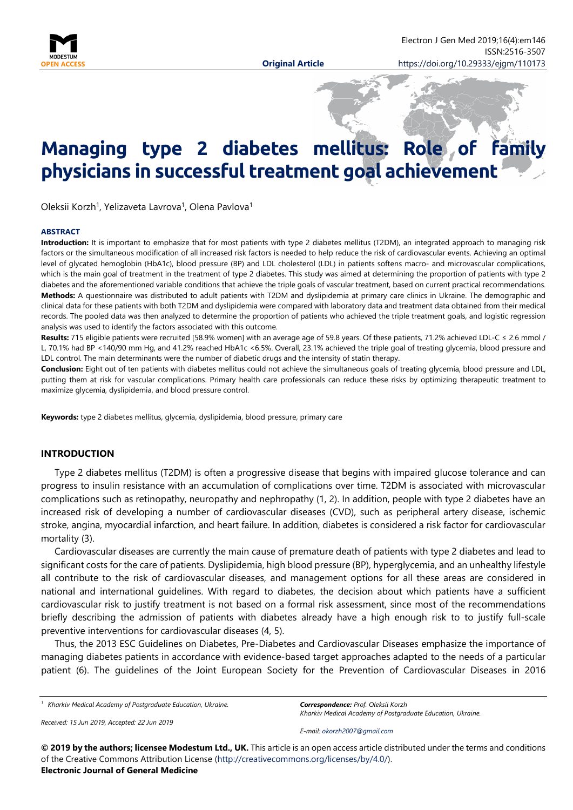

# **Managing type 2 diabetes mellitus: Role of family physicians in successful treatment goal achievement**

Oleksii Korzh<sup>1</sup>, Yelizaveta Lavrova<sup>1</sup>, Olena Pavlova<sup>1</sup>

#### **ABSTRACT**

**Introduction:** It is important to emphasize that for most patients with type 2 diabetes mellitus (T2DM), an integrated approach to managing risk factors or the simultaneous modification of all increased risk factors is needed to help reduce the risk of cardiovascular events. Achieving an optimal level of glycated hemoglobin (HbA1c), blood pressure (BP) and LDL cholesterol (LDL) in patients softens macro- and microvascular complications, which is the main goal of treatment in the treatment of type 2 diabetes. This study was aimed at determining the proportion of patients with type 2 diabetes and the aforementioned variable conditions that achieve the triple goals of vascular treatment, based on current practical recommendations. **Methods:** A questionnaire was distributed to adult patients with T2DM and dyslipidemia at primary care clinics in Ukraine. The demographic and clinical data for these patients with both T2DM and dyslipidemia were compared with laboratory data and treatment data obtained from their medical records. The pooled data was then analyzed to determine the proportion of patients who achieved the triple treatment goals, and logistic regression analysis was used to identify the factors associated with this outcome.

Results: 715 eligible patients were recruited [58.9% women] with an average age of 59.8 years. Of these patients, 71.2% achieved LDL-C ≤ 2.6 mmol / L, 70.1% had BP <140/90 mm Hg, and 41.2% reached HbA1c <6.5%. Overall, 23.1% achieved the triple goal of treating glycemia, blood pressure and LDL control. The main determinants were the number of diabetic drugs and the intensity of statin therapy.

**Conclusion:** Eight out of ten patients with diabetes mellitus could not achieve the simultaneous goals of treating glycemia, blood pressure and LDL, putting them at risk for vascular complications. Primary health care professionals can reduce these risks by optimizing therapeutic treatment to maximize glycemia, dyslipidemia, and blood pressure control.

**Keywords:** type 2 diabetes mellitus, glycemia, dyslipidemia, blood pressure, primary care

### **INTRODUCTION**

Type 2 diabetes mellitus (T2DM) is often a progressive disease that begins with impaired glucose tolerance and can progress to insulin resistance with an accumulation of complications over time. T2DM is associated with microvascular complications such as retinopathy, neuropathy and nephropathy (1, 2). In addition, people with type 2 diabetes have an increased risk of developing a number of cardiovascular diseases (CVD), such as peripheral artery disease, ischemic stroke, angina, myocardial infarction, and heart failure. In addition, diabetes is considered a risk factor for cardiovascular mortality (3).

Cardiovascular diseases are currently the main cause of premature death of patients with type 2 diabetes and lead to significant costs for the care of patients. Dyslipidemia, high blood pressure (BP), hyperglycemia, and an unhealthy lifestyle all contribute to the risk of cardiovascular diseases, and management options for all these areas are considered in national and international guidelines. With regard to diabetes, the decision about which patients have a sufficient cardiovascular risk to justify treatment is not based on a formal risk assessment, since most of the recommendations briefly describing the admission of patients with diabetes already have a high enough risk to to justify full-scale preventive interventions for cardiovascular diseases (4, 5).

Thus, the 2013 ESC Guidelines on Diabetes, Pre-Diabetes and Cardiovascular Diseases emphasize the importance of managing diabetes patients in accordance with evidence-based target approaches adapted to the needs of a particular patient (6). The guidelines of the Joint European Society for the Prevention of Cardiovascular Diseases in 2016

*<sup>1</sup> Kharkiv Medical Academy of Postgraduate Education, Ukraine.*

*Received: 15 Jun 2019, Accepted: 22 Jun 2019*

*Correspondence: Prof. Oleksii Korzh Kharkiv Medical Academy of Postgraduate Education, Ukraine.*

*E-mail: [okorzh2007@gmail.com](mailto:okorzh2007@gmail.com)*

**© 2019 by the authors; licensee Modestum Ltd., UK.** This article is an open access article distributed under the terms and conditions of the Creative Commons Attribution License [\(http://creativecommons.org/licenses/by/4.0/\)](http://creativecommons.org/licenses/by/4.0/). **Electronic Journal of General Medicine**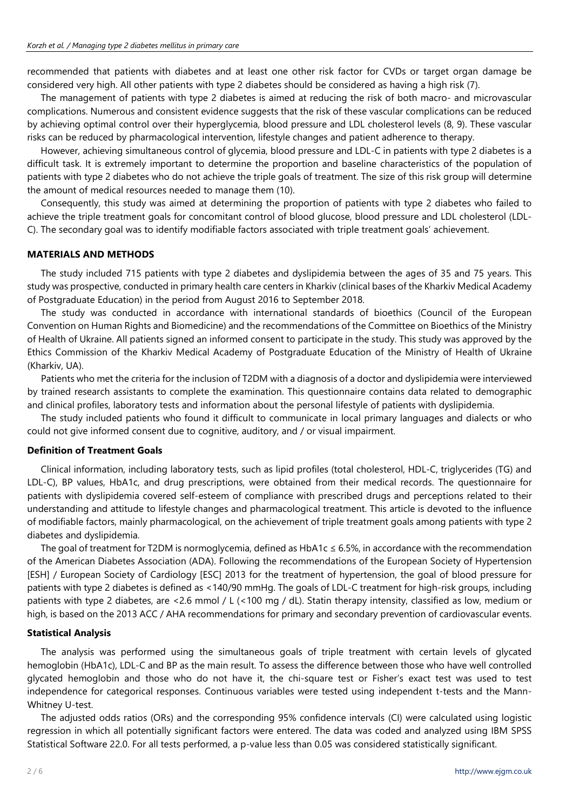recommended that patients with diabetes and at least one other risk factor for CVDs or target organ damage be considered very high. All other patients with type 2 diabetes should be considered as having a high risk (7).

The management of patients with type 2 diabetes is aimed at reducing the risk of both macro- and microvascular complications. Numerous and consistent evidence suggests that the risk of these vascular complications can be reduced by achieving optimal control over their hyperglycemia, blood pressure and LDL cholesterol levels (8, 9). These vascular risks can be reduced by pharmacological intervention, lifestyle changes and patient adherence to therapy.

However, achieving simultaneous control of glycemia, blood pressure and LDL-C in patients with type 2 diabetes is a difficult task. It is extremely important to determine the proportion and baseline characteristics of the population of patients with type 2 diabetes who do not achieve the triple goals of treatment. The size of this risk group will determine the amount of medical resources needed to manage them (10).

Consequently, this study was aimed at determining the proportion of patients with type 2 diabetes who failed to achieve the triple treatment goals for concomitant control of blood glucose, blood pressure and LDL cholesterol (LDL-C). The secondary goal was to identify modifiable factors associated with triple treatment goals' achievement.

# **MATERIALS AND METHODS**

The study included 715 patients with type 2 diabetes and dyslipidemia between the ages of 35 and 75 years. This study was prospective, conducted in primary health care centers in Kharkiv (clinical bases of the Kharkiv Medical Academy of Postgraduate Education) in the period from August 2016 to September 2018.

The study was conducted in accordance with international standards of bioethics (Council of the European Convention on Human Rights and Biomedicine) and the recommendations of the Committee on Bioethics of the Ministry of Health of Ukraine. All patients signed an informed consent to participate in the study. This study was approved by the Ethics Commission of the Kharkiv Medical Academy of Postgraduate Education of the Ministry of Health of Ukraine (Kharkiv, UA).

Patients who met the criteria for the inclusion of T2DM with a diagnosis of a doctor and dyslipidemia were interviewed by trained research assistants to complete the examination. This questionnaire contains data related to demographic and clinical profiles, laboratory tests and information about the personal lifestyle of patients with dyslipidemia.

The study included patients who found it difficult to communicate in local primary languages and dialects or who could not give informed consent due to cognitive, auditory, and / or visual impairment.

# **Definition of Treatment Goals**

Clinical information, including laboratory tests, such as lipid profiles (total cholesterol, HDL-C, triglycerides (TG) and LDL-C), BP values, HbA1c, and drug prescriptions, were obtained from their medical records. The questionnaire for patients with dyslipidemia covered self-esteem of compliance with prescribed drugs and perceptions related to their understanding and attitude to lifestyle changes and pharmacological treatment. This article is devoted to the influence of modifiable factors, mainly pharmacological, on the achievement of triple treatment goals among patients with type 2 diabetes and dyslipidemia.

The goal of treatment for T2DM is normoglycemia, defined as HbA1c ≤ 6.5%, in accordance with the recommendation of the American Diabetes Association (ADA). Following the recommendations of the European Society of Hypertension [ESH] / European Society of Cardiology [ESC] 2013 for the treatment of hypertension, the goal of blood pressure for patients with type 2 diabetes is defined as <140/90 mmHg. The goals of LDL-C treatment for high-risk groups, including patients with type 2 diabetes, are <2.6 mmol / L (<100 mg / dL). Statin therapy intensity, classified as low, medium or high, is based on the 2013 ACC / AHA recommendations for primary and secondary prevention of cardiovascular events.

# **Statistical Analysis**

The analysis was performed using the simultaneous goals of triple treatment with certain levels of glycated hemoglobin (HbA1c), LDL-C and BP as the main result. To assess the difference between those who have well controlled glycated hemoglobin and those who do not have it, the chi-square test or Fisher's exact test was used to test independence for categorical responses. Continuous variables were tested using independent t-tests and the Mann-Whitney U-test.

The adjusted odds ratios (ORs) and the corresponding 95% confidence intervals (CI) were calculated using logistic regression in which all potentially significant factors were entered. The data was coded and analyzed using IBM SPSS Statistical Software 22.0. For all tests performed, a p-value less than 0.05 was considered statistically significant.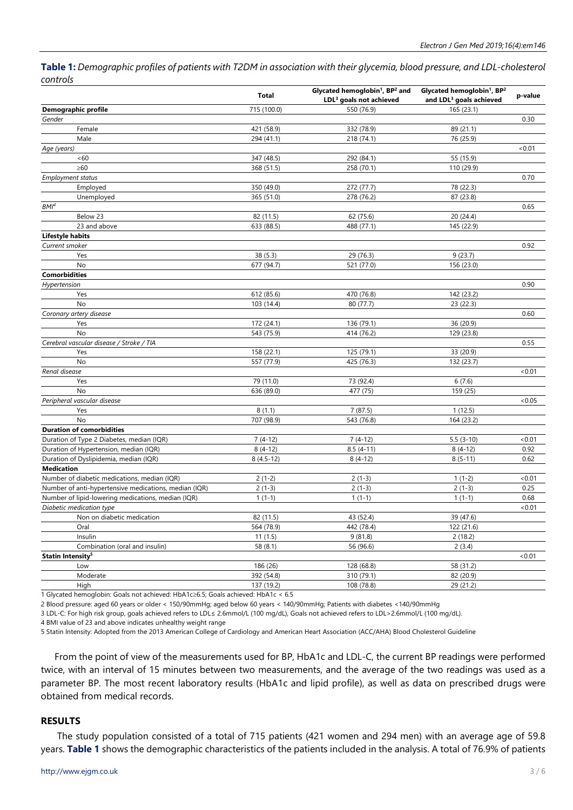Table 1: Demographic profiles of patients with T2DM in association with their glycemia, blood pressure, and LDL-cholesterol *controls*

|                                                       | <b>Total</b> | Glycated hemoglobin <sup>1</sup> , BP <sup>2</sup> and<br>LDL <sup>3</sup> goals not achieved | Glycated hemoglobin <sup>1</sup> , BP <sup>2</sup><br>and LDL <sup>3</sup> goals achieved | p-value |
|-------------------------------------------------------|--------------|-----------------------------------------------------------------------------------------------|-------------------------------------------------------------------------------------------|---------|
| Demographic profile                                   | 715 (100.0)  | 550 (76.9)                                                                                    | 165 (23.1)                                                                                |         |
| Gender                                                |              |                                                                                               |                                                                                           | 0.30    |
| Female                                                | 421 (58.9)   | 332 (78.9)                                                                                    | 89 (21.1)                                                                                 |         |
| Male                                                  | 294 (41.1)   | 218 (74.1)                                                                                    | 76 (25.9)                                                                                 |         |
| Age (years)                                           |              |                                                                                               |                                                                                           | < 0.01  |
| <60                                                   | 347 (48.5)   | 292 (84.1)                                                                                    | 55 (15.9)                                                                                 |         |
| $\geq 60$                                             | 368 (51.5)   | 258 (70.1)                                                                                    | 110 (29.9)                                                                                |         |
| <b>Employment status</b>                              |              |                                                                                               |                                                                                           | 0.70    |
| Employed                                              | 350 (49.0)   | 272 (77.7)                                                                                    | 78 (22.3)                                                                                 |         |
| Unemployed                                            | 365 (51.0)   | 278 (76.2)                                                                                    | 87 (23.8)                                                                                 |         |
| BMI <sup>4</sup>                                      |              |                                                                                               |                                                                                           | 0.65    |
| Below 23                                              | 82 (11.5)    | 62 (75.6)                                                                                     | 20(24.4)                                                                                  |         |
| 23 and above                                          | 633 (88.5)   | 488 (77.1)                                                                                    | 145 (22.9)                                                                                |         |
| <b>Lifestyle habits</b>                               |              |                                                                                               |                                                                                           |         |
| Current smoker                                        |              |                                                                                               |                                                                                           | 0.92    |
| Yes                                                   | 38 (5.3)     | 29 (76.3)                                                                                     | 9(23.7)                                                                                   |         |
| No                                                    | 677 (94.7)   | 521 (77.0)                                                                                    | 156 (23.0)                                                                                |         |
| <b>Comorbidities</b>                                  |              |                                                                                               |                                                                                           |         |
| Hypertension                                          |              |                                                                                               |                                                                                           | 0.90    |
| Yes                                                   | 612 (85.6)   | 470 (76.8)                                                                                    | 142 (23.2)                                                                                |         |
| No                                                    | 103 (14.4)   | 80 (77.7)                                                                                     | 23(22.3)                                                                                  |         |
| Coronary artery disease                               |              |                                                                                               |                                                                                           | 0.60    |
| Yes                                                   | 172 (24.1)   | 136 (79.1)                                                                                    | 36 (20.9)                                                                                 |         |
| <b>No</b>                                             | 543 (75.9)   | 414 (76.2)                                                                                    | 129 (23.8)                                                                                |         |
| Cerebral vascular disease / Stroke / TIA              |              |                                                                                               |                                                                                           | 0.55    |
| Yes                                                   | 158 (22.1)   | 125 (79.1)                                                                                    | 33 (20.9)                                                                                 |         |
| No                                                    | 557 (77.9)   | 425 (76.3)                                                                                    | 132 (23.7)                                                                                |         |
| Renal disease                                         |              |                                                                                               |                                                                                           | <0.01   |
| Yes                                                   | 79 (11.0)    | 73 (92.4)                                                                                     | 6(7.6)                                                                                    |         |
| <b>No</b>                                             | 636 (89.0)   | 477 (75)                                                                                      | 159 (25)                                                                                  |         |
| Peripheral vascular disease                           |              |                                                                                               |                                                                                           | < 0.05  |
| Yes                                                   | 8(1.1)       | 7(87.5)                                                                                       | 1(12.5)                                                                                   |         |
| <b>No</b>                                             | 707 (98.9)   | 543 (76.8)                                                                                    | 164 (23.2)                                                                                |         |
| <b>Duration of comorbidities</b>                      |              |                                                                                               |                                                                                           |         |
| Duration of Type 2 Diabetes, median (IQR)             | $7(4-12)$    | $7(4-12)$                                                                                     | $5.5(3-10)$                                                                               | <0.01   |
| Duration of Hypertension, median (IQR)                | $8(4-12)$    | $8.5(4-11)$                                                                                   | $8(4-12)$                                                                                 | 0.92    |
| Duration of Dyslipidemia, median (IQR)                | $8(4.5-12)$  | $8(4-12)$                                                                                     | $8(5-11)$                                                                                 | 0.62    |
| <b>Medication</b>                                     |              |                                                                                               |                                                                                           |         |
| Number of diabetic medications, median (IQR)          | $2(1-2)$     | $2(1-3)$                                                                                      | $1(1-2)$                                                                                  | <0.01   |
| Number of anti-hypertensive medications, median (IQR) | $2(1-3)$     | $2(1-3)$                                                                                      | $2(1-3)$                                                                                  | 0.25    |
| Number of lipid-lowering medications, median (IQR)    | $1(1-1)$     | $1(1-1)$                                                                                      | $1(1-1)$                                                                                  | 0.68    |
| Diabetic medication type                              |              |                                                                                               |                                                                                           | <0.01   |
| Non on diabetic medication                            | 82 (11.5)    | 43 (52.4)                                                                                     | 39 (47.6)                                                                                 |         |
| Oral                                                  | 564 (78.9)   | 442 (78.4)                                                                                    | 122 (21.6)                                                                                |         |
| Insulin                                               | 11(1.5)      | 9(81.8)                                                                                       | 2(18.2)                                                                                   |         |
| Combination (oral and insulin)                        | 58 (8.1)     | 56 (96.6)                                                                                     | 2(3.4)                                                                                    |         |
| Statin Intensity <sup>5</sup>                         |              |                                                                                               |                                                                                           | <0.01   |
| Low                                                   | 186 (26)     | 128 (68.8)                                                                                    | 58 (31.2)                                                                                 |         |
| Moderate                                              | 392 (54.8)   | 310 (79.1)                                                                                    | 82 (20.9)                                                                                 |         |
| High                                                  | 137 (19.2)   | 108 (78.8)                                                                                    | 29 (21.2)                                                                                 |         |

1 Glycated hemoglobin: Goals not achieved: HbA1c≥6.5; Goals achieved: HbA1c < 6.5

2 Blood pressure: aged 60 years or older < 150/90mmHg; aged below 60 years < 140/90mmHg; Patients with diabetes <140/90mmHg

3 LDL-C: For high risk group, goals achieved refers to LDL≤ 2.6mmol/L (100 mg/dL), Goals not achieved refers to LDL>2.6mmol/L (100 mg/dL).

4 BMI value of 23 and above indicates unhealthy weight range

5 Statin Intensity: Adopted from the 2013 American College of Cardiology and American Heart Association (ACC/AHA) Blood Cholesterol Guideline

From the point of view of the measurements used for BP, HbA1c and LDL-C, the current BP readings were performed twice, with an interval of 15 minutes between two measurements, and the average of the two readings was used as a parameter BP. The most recent laboratory results (HbA1c and lipid profile), as well as data on prescribed drugs were obtained from medical records.

#### **RESULTS**

The study population consisted of a total of 715 patients (421 women and 294 men) with an average age of 59.8 years. **Table 1** shows the demographic characteristics of the patients included in the analysis. A total of 76.9% of patients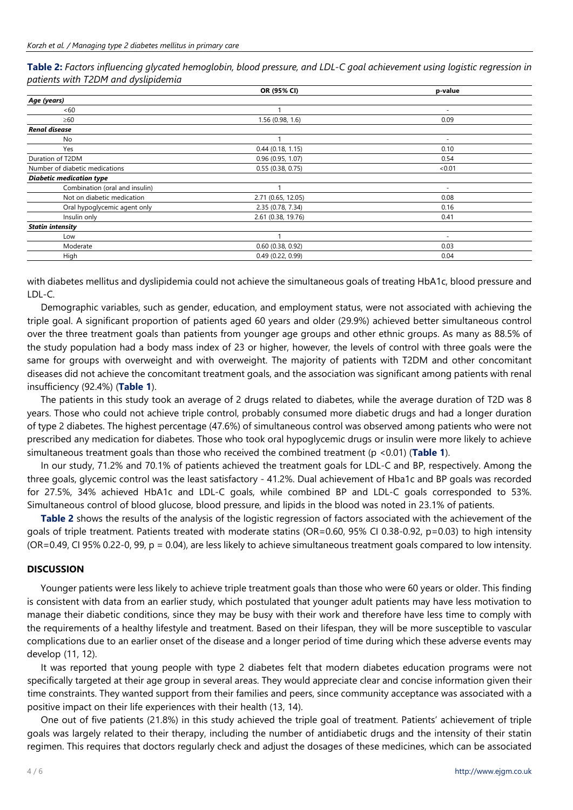Table 2: Factors influencing glycated hemoglobin, blood pressure, and LDL-C goal achievement using logistic regression in *patients with T2DM and dyslipidemia*

|                                 | OR (95% CI)         | p-value                  |
|---------------------------------|---------------------|--------------------------|
| Age (years)                     |                     |                          |
| <60                             |                     |                          |
| $\geq 60$                       | 1.56 (0.98, 1.6)    | 0.09                     |
| <b>Renal disease</b>            |                     |                          |
| No                              |                     | $\overline{\phantom{a}}$ |
| Yes                             | 0.44(0.18, 1.15)    | 0.10                     |
| Duration of T2DM                | 0.96(0.95, 1.07)    | 0.54                     |
| Number of diabetic medications  | 0.55(0.38, 0.75)    | < 0.01                   |
| <b>Diabetic medication type</b> |                     |                          |
| Combination (oral and insulin)  |                     | $\overline{\phantom{a}}$ |
| Not on diabetic medication      | 2.71 (0.65, 12.05)  | 0.08                     |
| Oral hypoglycemic agent only    | 2.35 (0.78, 7.34)   | 0.16                     |
| Insulin only                    | 2.61 (0.38, 19.76)  | 0.41                     |
| <b>Statin intensity</b>         |                     |                          |
| Low                             |                     | $\overline{\phantom{a}}$ |
| Moderate                        | $0.60$ (0.38, 0.92) | 0.03                     |
| High                            | 0.49(0.22, 0.99)    | 0.04                     |
|                                 |                     |                          |

with diabetes mellitus and dyslipidemia could not achieve the simultaneous goals of treating HbA1c, blood pressure and LDL-C.

Demographic variables, such as gender, education, and employment status, were not associated with achieving the triple goal. A significant proportion of patients aged 60 years and older (29.9%) achieved better simultaneous control over the three treatment goals than patients from younger age groups and other ethnic groups. As many as 88.5% of the study population had a body mass index of 23 or higher, however, the levels of control with three goals were the same for groups with overweight and with overweight. The majority of patients with T2DM and other concomitant diseases did not achieve the concomitant treatment goals, and the association was significant among patients with renal insufficiency (92.4%) (**Table 1**).

The patients in this study took an average of 2 drugs related to diabetes, while the average duration of T2D was 8 years. Those who could not achieve triple control, probably consumed more diabetic drugs and had a longer duration of type 2 diabetes. The highest percentage (47.6%) of simultaneous control was observed among patients who were not prescribed any medication for diabetes. Those who took oral hypoglycemic drugs or insulin were more likely to achieve simultaneous treatment goals than those who received the combined treatment (p <0.01) (**Table 1**).

In our study, 71.2% and 70.1% of patients achieved the treatment goals for LDL-C and BP, respectively. Among the three goals, glycemic control was the least satisfactory - 41.2%. Dual achievement of Hba1c and BP goals was recorded for 27.5%, 34% achieved HbA1c and LDL-C goals, while combined BP and LDL-C goals corresponded to 53%. Simultaneous control of blood glucose, blood pressure, and lipids in the blood was noted in 23.1% of patients.

**Table 2** shows the results of the analysis of the logistic regression of factors associated with the achievement of the goals of triple treatment. Patients treated with moderate statins (OR=0.60, 95% CI 0.38-0.92, p=0.03) to high intensity (OR=0.49, CI 95% 0.22-0, 99, p = 0.04), are less likely to achieve simultaneous treatment goals compared to low intensity.

# **DISCUSSION**

Younger patients were less likely to achieve triple treatment goals than those who were 60 years or older. This finding is consistent with data from an earlier study, which postulated that younger adult patients may have less motivation to manage their diabetic conditions, since they may be busy with their work and therefore have less time to comply with the requirements of a healthy lifestyle and treatment. Based on their lifespan, they will be more susceptible to vascular complications due to an earlier onset of the disease and a longer period of time during which these adverse events may develop (11, 12).

It was reported that young people with type 2 diabetes felt that modern diabetes education programs were not specifically targeted at their age group in several areas. They would appreciate clear and concise information given their time constraints. They wanted support from their families and peers, since community acceptance was associated with a positive impact on their life experiences with their health (13, 14).

One out of five patients (21.8%) in this study achieved the triple goal of treatment. Patients' achievement of triple goals was largely related to their therapy, including the number of antidiabetic drugs and the intensity of their statin regimen. This requires that doctors regularly check and adjust the dosages of these medicines, which can be associated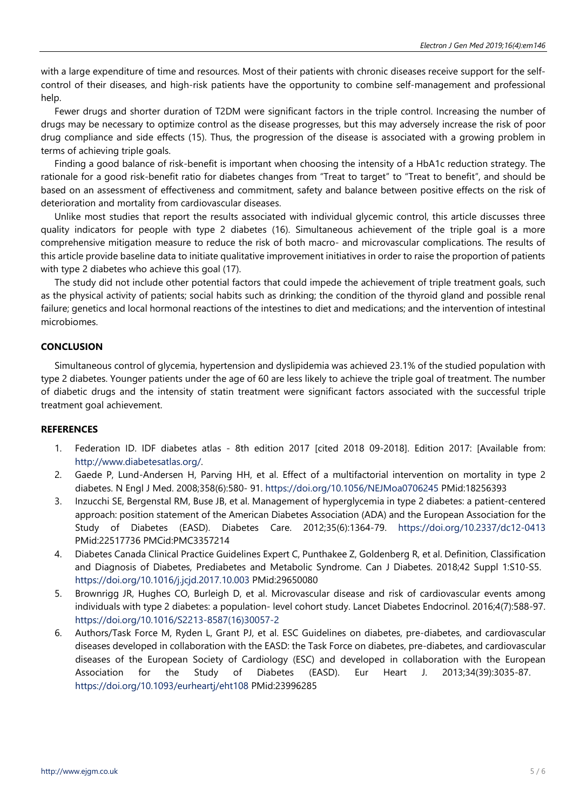with a large expenditure of time and resources. Most of their patients with chronic diseases receive support for the selfcontrol of their diseases, and high-risk patients have the opportunity to combine self-management and professional help.

Fewer drugs and shorter duration of T2DM were significant factors in the triple control. Increasing the number of drugs may be necessary to optimize control as the disease progresses, but this may adversely increase the risk of poor drug compliance and side effects (15). Thus, the progression of the disease is associated with a growing problem in terms of achieving triple goals.

Finding a good balance of risk-benefit is important when choosing the intensity of a HbA1c reduction strategy. The rationale for a good risk-benefit ratio for diabetes changes from "Treat to target" to "Treat to benefit", and should be based on an assessment of effectiveness and commitment, safety and balance between positive effects on the risk of deterioration and mortality from cardiovascular diseases.

Unlike most studies that report the results associated with individual glycemic control, this article discusses three quality indicators for people with type 2 diabetes (16). Simultaneous achievement of the triple goal is a more comprehensive mitigation measure to reduce the risk of both macro- and microvascular complications. The results of this article provide baseline data to initiate qualitative improvement initiatives in order to raise the proportion of patients with type 2 diabetes who achieve this goal (17).

The study did not include other potential factors that could impede the achievement of triple treatment goals, such as the physical activity of patients; social habits such as drinking; the condition of the thyroid gland and possible renal failure; genetics and local hormonal reactions of the intestines to diet and medications; and the intervention of intestinal microbiomes.

# **CONCLUSION**

Simultaneous control of glycemia, hypertension and dyslipidemia was achieved 23.1% of the studied population with type 2 diabetes. Younger patients under the age of 60 are less likely to achieve the triple goal of treatment. The number of diabetic drugs and the intensity of statin treatment were significant factors associated with the successful triple treatment goal achievement.

# **REFERENCES**

- 1. Federation ID. IDF diabetes atlas 8th edition 2017 [cited 2018 09-2018]. Edition 2017: [Available from: [http://www.diabetesatlas.org/.](http://www.diabetesatlas.org/)
- 2. Gaede P, Lund-Andersen H, Parving HH, et al. Effect of a multifactorial intervention on mortality in type 2 diabetes. N Engl J Med. 2008;358(6):580- 91. <https://doi.org/10.1056/NEJMoa0706245> PMid:18256393
- 3. Inzucchi SE, Bergenstal RM, Buse JB, et al. Management of hyperglycemia in type 2 diabetes: a patient-centered approach: position statement of the American Diabetes Association (ADA) and the European Association for the Study of Diabetes (EASD). Diabetes Care. 2012;35(6):1364-79. <https://doi.org/10.2337/dc12-0413> PMid:22517736 PMCid:PMC3357214
- 4. Diabetes Canada Clinical Practice Guidelines Expert C, Punthakee Z, Goldenberg R, et al. Definition, Classification and Diagnosis of Diabetes, Prediabetes and Metabolic Syndrome. Can J Diabetes. 2018;42 Suppl 1:S10-S5. <https://doi.org/10.1016/j.jcjd.2017.10.003> PMid:29650080
- 5. Brownrigg JR, Hughes CO, Burleigh D, et al. Microvascular disease and risk of cardiovascular events among individuals with type 2 diabetes: a population- level cohort study. Lancet Diabetes Endocrinol. 2016;4(7):588-97. [https://doi.org/10.1016/S2213-8587\(16\)30057-2](https://doi.org/10.1016/S2213-8587(16)30057-2)
- 6. Authors/Task Force M, Ryden L, Grant PJ, et al. ESC Guidelines on diabetes, pre-diabetes, and cardiovascular diseases developed in collaboration with the EASD: the Task Force on diabetes, pre-diabetes, and cardiovascular diseases of the European Society of Cardiology (ESC) and developed in collaboration with the European Association for the Study of Diabetes (EASD). Eur Heart J. 2013;34(39):3035-87. <https://doi.org/10.1093/eurheartj/eht108> PMid:23996285